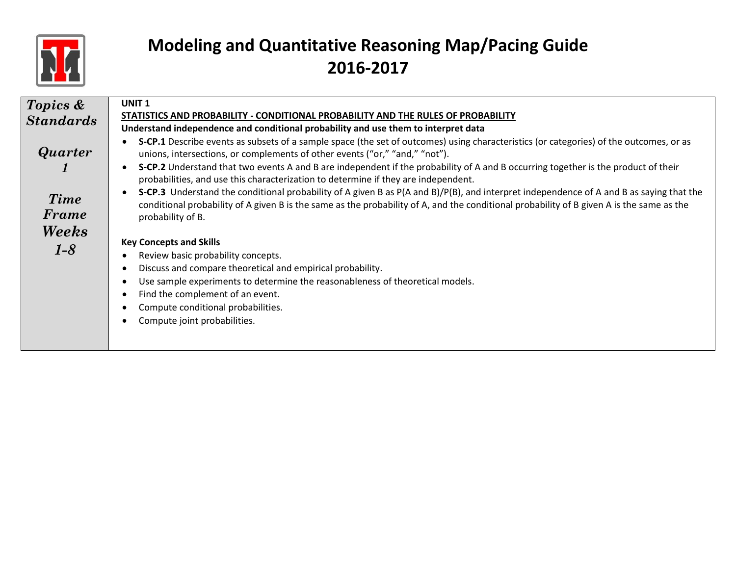

| UNIT <sub>1</sub>                                                                                                                                                                                                                                                                                         |
|-----------------------------------------------------------------------------------------------------------------------------------------------------------------------------------------------------------------------------------------------------------------------------------------------------------|
| STATISTICS AND PROBABILITY - CONDITIONAL PROBABILITY AND THE RULES OF PROBABILITY                                                                                                                                                                                                                         |
| Understand independence and conditional probability and use them to interpret data                                                                                                                                                                                                                        |
| S-CP.1 Describe events as subsets of a sample space (the set of outcomes) using characteristics (or categories) of the outcomes, or as<br>unions, intersections, or complements of other events ("or," "and," "not").                                                                                     |
| S-CP.2 Understand that two events A and B are independent if the probability of A and B occurring together is the product of their<br>probabilities, and use this characterization to determine if they are independent.                                                                                  |
| S-CP.3 Understand the conditional probability of A given B as P(A and B)/P(B), and interpret independence of A and B as saying that the<br>conditional probability of A given B is the same as the probability of A, and the conditional probability of B given A is the same as the<br>probability of B. |
|                                                                                                                                                                                                                                                                                                           |
| <b>Key Concepts and Skills</b>                                                                                                                                                                                                                                                                            |
| Review basic probability concepts.                                                                                                                                                                                                                                                                        |
| Discuss and compare theoretical and empirical probability.                                                                                                                                                                                                                                                |
| Use sample experiments to determine the reasonableness of theoretical models.<br>Find the complement of an event.                                                                                                                                                                                         |
| Compute conditional probabilities.                                                                                                                                                                                                                                                                        |
|                                                                                                                                                                                                                                                                                                           |
| Compute joint probabilities.                                                                                                                                                                                                                                                                              |
|                                                                                                                                                                                                                                                                                                           |
|                                                                                                                                                                                                                                                                                                           |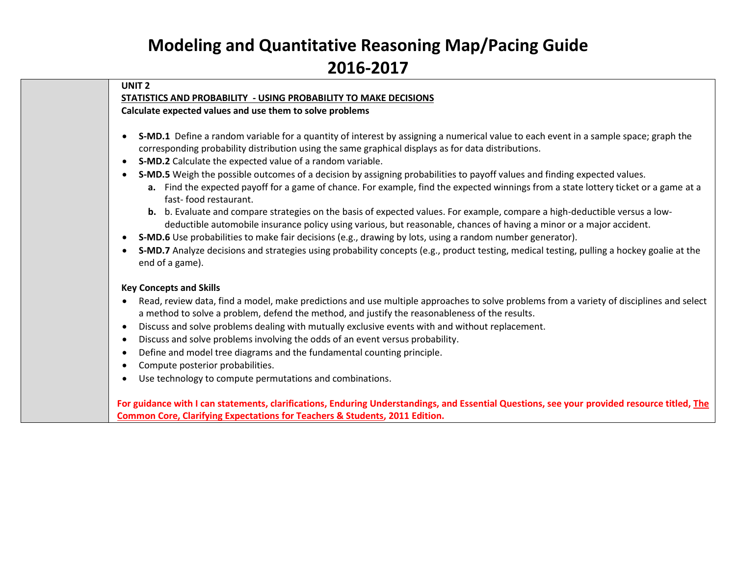### **UNIT 2**

### **STATISTICS AND PROBABILITY - USING PROBABILITY TO MAKE DECISIONS**

**Calculate expected values and use them to solve problems**

- **S-MD.1** Define a random variable for a quantity of interest by assigning a numerical value to each event in a sample space; graph the corresponding probability distribution using the same graphical displays as for data distributions.
- **S-MD.2** Calculate the expected value of a random variable.
- **S-MD.5** Weigh the possible outcomes of a decision by assigning probabilities to payoff values and finding expected values.
	- **a.** Find the expected payoff for a game of chance. For example, find the expected winnings from a state lottery ticket or a game at a fast- food restaurant.
	- **b.** b. Evaluate and compare strategies on the basis of expected values. For example, compare a high-deductible versus a lowdeductible automobile insurance policy using various, but reasonable, chances of having a minor or a major accident.
- **S-MD.6** Use probabilities to make fair decisions (e.g., drawing by lots, using a random number generator).
- **S-MD.7** Analyze decisions and strategies using probability concepts (e.g., product testing, medical testing, pulling a hockey goalie at the end of a game).

## **Key Concepts and Skills**

- Read, review data, find a model, make predictions and use multiple approaches to solve problems from a variety of disciplines and select a method to solve a problem, defend the method, and justify the reasonableness of the results.
- Discuss and solve problems dealing with mutually exclusive events with and without replacement.
- Discuss and solve problems involving the odds of an event versus probability.
- Define and model tree diagrams and the fundamental counting principle.
- Compute posterior probabilities.
- Use technology to compute permutations and combinations.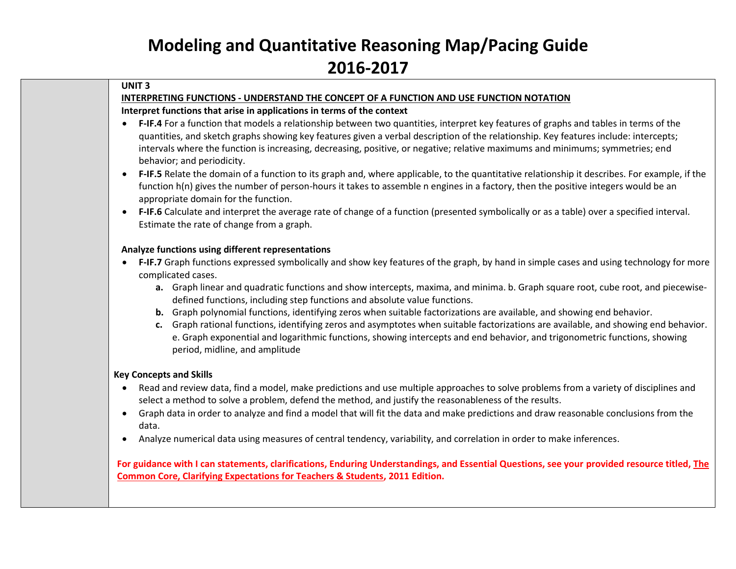#### **UNIT 3**

#### **INTERPRETING FUNCTIONS - UNDERSTAND THE CONCEPT OF A FUNCTION AND USE FUNCTION NOTATION**

#### **Interpret functions that arise in applications in terms of the context**

- **F-IF.4** For a function that models a relationship between two quantities, interpret key features of graphs and tables in terms of the quantities, and sketch graphs showing key features given a verbal description of the relationship. Key features include: intercepts; intervals where the function is increasing, decreasing, positive, or negative; relative maximums and minimums; symmetries; end behavior; and periodicity.
- **F-IF.5** Relate the domain of a function to its graph and, where applicable, to the quantitative relationship it describes. For example, if the function h(n) gives the number of person-hours it takes to assemble n engines in a factory, then the positive integers would be an appropriate domain for the function.
- **F-IF.6** Calculate and interpret the average rate of change of a function (presented symbolically or as a table) over a specified interval. Estimate the rate of change from a graph.

#### **Analyze functions using different representations**

- **F-IF.7** Graph functions expressed symbolically and show key features of the graph, by hand in simple cases and using technology for more complicated cases.
	- **a.** Graph linear and quadratic functions and show intercepts, maxima, and minima. b. Graph square root, cube root, and piecewisedefined functions, including step functions and absolute value functions.
	- **b.** Graph polynomial functions, identifying zeros when suitable factorizations are available, and showing end behavior.
	- **c.** Graph rational functions, identifying zeros and asymptotes when suitable factorizations are available, and showing end behavior. e. Graph exponential and logarithmic functions, showing intercepts and end behavior, and trigonometric functions, showing period, midline, and amplitude

#### **Key Concepts and Skills**

- Read and review data, find a model, make predictions and use multiple approaches to solve problems from a variety of disciplines and select a method to solve a problem, defend the method, and justify the reasonableness of the results.
- Graph data in order to analyze and find a model that will fit the data and make predictions and draw reasonable conclusions from the data.
- Analyze numerical data using measures of central tendency, variability, and correlation in order to make inferences.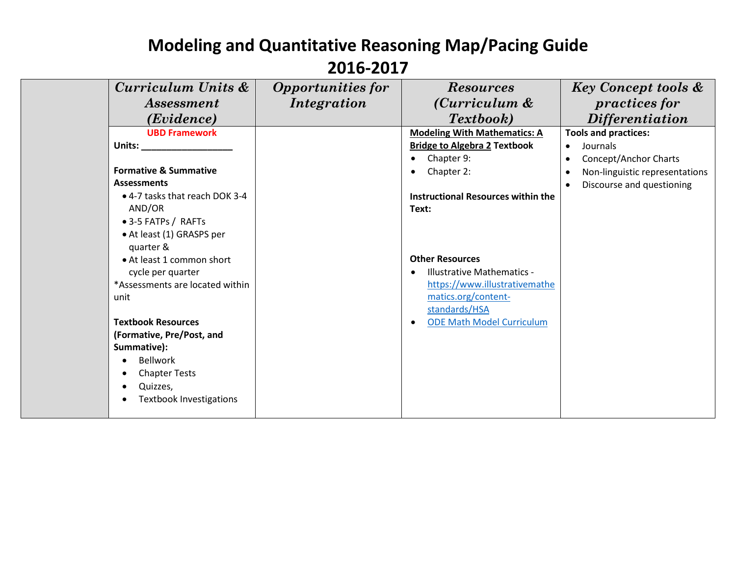| Curriculum Units &                          | <b>Opportunities for</b> | <b>Resources</b>                    | <b>Key Concept tools &amp;</b>              |
|---------------------------------------------|--------------------------|-------------------------------------|---------------------------------------------|
| <i>Assessment</i>                           | Integration              | (Curriculum &                       | <i>practices for</i>                        |
| ( <i>Evidence</i> )                         |                          | Textbook)                           | <i>Differentiation</i>                      |
| <b>UBD Framework</b>                        |                          | <b>Modeling With Mathematics: A</b> | <b>Tools and practices:</b>                 |
| Units:                                      |                          | <b>Bridge to Algebra 2 Textbook</b> | Journals<br>$\bullet$                       |
|                                             |                          | Chapter 9:                          | Concept/Anchor Charts<br>$\bullet$          |
| <b>Formative &amp; Summative</b>            |                          | Chapter 2:                          | Non-linguistic representations<br>$\bullet$ |
| <b>Assessments</b>                          |                          |                                     | Discourse and questioning<br>$\bullet$      |
| • 4-7 tasks that reach DOK 3-4              |                          | Instructional Resources within the  |                                             |
| AND/OR                                      |                          | Text:                               |                                             |
| • 3-5 FATPs / RAFTs                         |                          |                                     |                                             |
| • At least (1) GRASPS per<br>quarter &      |                          |                                     |                                             |
| • At least 1 common short                   |                          | <b>Other Resources</b>              |                                             |
| cycle per quarter                           |                          | <b>Illustrative Mathematics -</b>   |                                             |
| *Assessments are located within             |                          | https://www.illustrativemathe       |                                             |
| unit                                        |                          | matics.org/content-                 |                                             |
|                                             |                          | standards/HSA                       |                                             |
| <b>Textbook Resources</b>                   |                          | <b>ODE Math Model Curriculum</b>    |                                             |
| (Formative, Pre/Post, and                   |                          |                                     |                                             |
| Summative):                                 |                          |                                     |                                             |
| <b>Bellwork</b><br>$\bullet$                |                          |                                     |                                             |
| <b>Chapter Tests</b><br>$\bullet$           |                          |                                     |                                             |
| Quizzes,<br>$\bullet$                       |                          |                                     |                                             |
| <b>Textbook Investigations</b><br>$\bullet$ |                          |                                     |                                             |
|                                             |                          |                                     |                                             |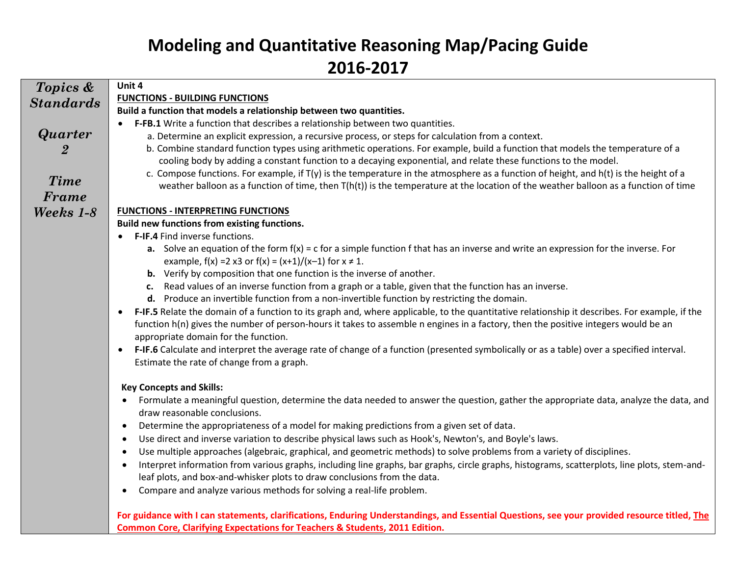| Topics &         | Unit 4                                                                                                                                                     |  |  |  |
|------------------|------------------------------------------------------------------------------------------------------------------------------------------------------------|--|--|--|
| <b>Standards</b> | <b>FUNCTIONS - BUILDING FUNCTIONS</b>                                                                                                                      |  |  |  |
|                  | Build a function that models a relationship between two quantities.                                                                                        |  |  |  |
|                  | • F-FB.1 Write a function that describes a relationship between two quantities.                                                                            |  |  |  |
| <b>Quarter</b>   | a. Determine an explicit expression, a recursive process, or steps for calculation from a context.                                                         |  |  |  |
| $\overline{2}$   | b. Combine standard function types using arithmetic operations. For example, build a function that models the temperature of a                             |  |  |  |
|                  | cooling body by adding a constant function to a decaying exponential, and relate these functions to the model.                                             |  |  |  |
| <b>Time</b>      | c. Compose functions. For example, if $T(y)$ is the temperature in the atmosphere as a function of height, and $h(t)$ is the height of a                   |  |  |  |
|                  | weather balloon as a function of time, then $T(h(t))$ is the temperature at the location of the weather balloon as a function of time                      |  |  |  |
| Frame            |                                                                                                                                                            |  |  |  |
| Weeks 1-8        | <b>FUNCTIONS - INTERPRETING FUNCTIONS</b>                                                                                                                  |  |  |  |
|                  | Build new functions from existing functions.                                                                                                               |  |  |  |
|                  | <b>F-IF.4</b> Find inverse functions.                                                                                                                      |  |  |  |
|                  | a. Solve an equation of the form $f(x) = c$ for a simple function f that has an inverse and write an expression for the inverse. For                       |  |  |  |
|                  | example, $f(x) = 2$ x3 or $f(x) = (x+1)/(x-1)$ for $x \ne 1$ .<br><b>b.</b> Verify by composition that one function is the inverse of another.             |  |  |  |
|                  | c. Read values of an inverse function from a graph or a table, given that the function has an inverse.                                                     |  |  |  |
|                  | d. Produce an invertible function from a non-invertible function by restricting the domain.                                                                |  |  |  |
|                  | F-IF.5 Relate the domain of a function to its graph and, where applicable, to the quantitative relationship it describes. For example, if the<br>$\bullet$ |  |  |  |
|                  | function h(n) gives the number of person-hours it takes to assemble n engines in a factory, then the positive integers would be an                         |  |  |  |
|                  | appropriate domain for the function.                                                                                                                       |  |  |  |
|                  | F-IF.6 Calculate and interpret the average rate of change of a function (presented symbolically or as a table) over a specified interval.<br>$\bullet$     |  |  |  |
|                  | Estimate the rate of change from a graph.                                                                                                                  |  |  |  |
|                  |                                                                                                                                                            |  |  |  |
|                  | <b>Key Concepts and Skills:</b>                                                                                                                            |  |  |  |
|                  | Formulate a meaningful question, determine the data needed to answer the question, gather the appropriate data, analyze the data, and                      |  |  |  |
|                  | draw reasonable conclusions.                                                                                                                               |  |  |  |
|                  | Determine the appropriateness of a model for making predictions from a given set of data.<br>$\bullet$                                                     |  |  |  |
|                  | Use direct and inverse variation to describe physical laws such as Hook's, Newton's, and Boyle's laws.<br>$\bullet$                                        |  |  |  |
|                  | Use multiple approaches (algebraic, graphical, and geometric methods) to solve problems from a variety of disciplines.<br>$\bullet$                        |  |  |  |
|                  | Interpret information from various graphs, including line graphs, bar graphs, circle graphs, histograms, scatterplots, line plots, stem-and-<br>$\bullet$  |  |  |  |
|                  | leaf plots, and box-and-whisker plots to draw conclusions from the data.                                                                                   |  |  |  |
|                  | Compare and analyze various methods for solving a real-life problem.<br>$\bullet$                                                                          |  |  |  |
|                  |                                                                                                                                                            |  |  |  |
|                  | For guidance with I can statements, clarifications, Enduring Understandings, and Essential Questions, see your provided resource titled, The               |  |  |  |
|                  | <b>Common Core, Clarifying Expectations for Teachers &amp; Students, 2011 Edition.</b>                                                                     |  |  |  |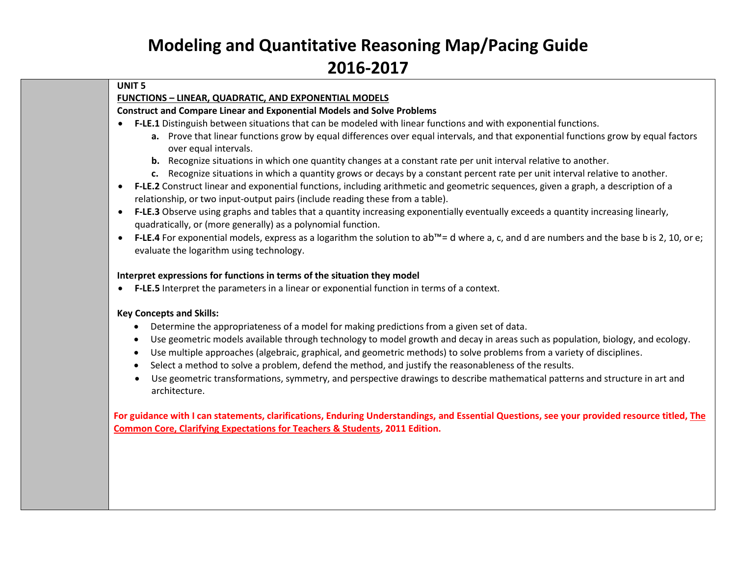#### **UNIT 5**

#### **FUNCTIONS – LINEAR, QUADRATIC, AND EXPONENTIAL MODELS**

#### **Construct and Compare Linear and Exponential Models and Solve Problems**

- **F-LE.1** Distinguish between situations that can be modeled with linear functions and with exponential functions.
	- **a.** Prove that linear functions grow by equal differences over equal intervals, and that exponential functions grow by equal factors over equal intervals.
	- **b.** Recognize situations in which one quantity changes at a constant rate per unit interval relative to another.
	- **c.** Recognize situations in which a quantity grows or decays by a constant percent rate per unit interval relative to another.
- **F-LE.2** Construct linear and exponential functions, including arithmetic and geometric sequences, given a graph, a description of a relationship, or two input-output pairs (include reading these from a table).
- **F-LE.3** Observe using graphs and tables that a quantity increasing exponentially eventually exceeds a quantity increasing linearly, quadratically, or (more generally) as a polynomial function.
- **F-LE.4** For exponential models, express as a logarithm the solution to ab™= d where a, c, and d are numbers and the base b is 2, 10, or e; evaluate the logarithm using technology.

#### **Interpret expressions for functions in terms of the situation they model**

**F-LE.5** Interpret the parameters in a linear or exponential function in terms of a context.

#### **Key Concepts and Skills:**

- Determine the appropriateness of a model for making predictions from a given set of data.
- Use geometric models available through technology to model growth and decay in areas such as population, biology, and ecology.
- Use multiple approaches (algebraic, graphical, and geometric methods) to solve problems from a variety of disciplines.
- Select a method to solve a problem, defend the method, and justify the reasonableness of the results.
- Use geometric transformations, symmetry, and perspective drawings to describe mathematical patterns and structure in art and architecture.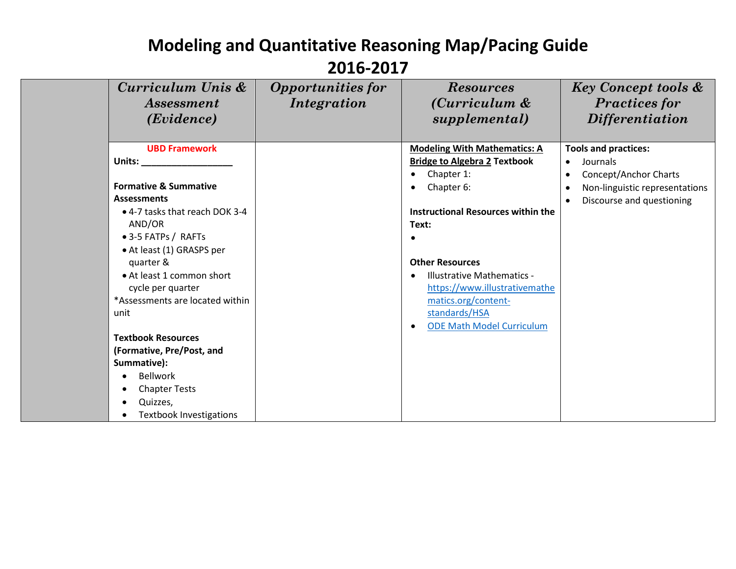| Curriculum Unis &<br><i>Assessment</i><br>(Evidence)                                                                                                                                                                                                                                                                                                                        | <b>Opportunities for</b><br>Integration | <b>Resources</b><br>(Curriculum &<br>supplemental)                                                                                                                                                                                                                                                                                       | <b>Key Concept tools &amp;</b><br><b>Practices for</b><br><i>Differentiation</i>                                                                          |
|-----------------------------------------------------------------------------------------------------------------------------------------------------------------------------------------------------------------------------------------------------------------------------------------------------------------------------------------------------------------------------|-----------------------------------------|------------------------------------------------------------------------------------------------------------------------------------------------------------------------------------------------------------------------------------------------------------------------------------------------------------------------------------------|-----------------------------------------------------------------------------------------------------------------------------------------------------------|
| <b>UBD Framework</b><br>Units:<br><b>Formative &amp; Summative</b><br><b>Assessments</b><br>• 4-7 tasks that reach DOK 3-4<br>AND/OR<br>• 3-5 FATPs / RAFTs<br>• At least (1) GRASPS per<br>quarter &<br>• At least 1 common short<br>cycle per quarter<br>*Assessments are located within<br>unit<br><b>Textbook Resources</b><br>(Formative, Pre/Post, and<br>Summative): |                                         | <b>Modeling With Mathematics: A</b><br><b>Bridge to Algebra 2 Textbook</b><br>Chapter 1:<br>Chapter 6:<br><b>Instructional Resources within the</b><br>Text:<br><b>Other Resources</b><br><b>Illustrative Mathematics -</b><br>https://www.illustrativemathe<br>matics.org/content-<br>standards/HSA<br><b>ODE Math Model Curriculum</b> | <b>Tools and practices:</b><br>Journals<br>$\bullet$<br>Concept/Anchor Charts<br>Non-linguistic representations<br>$\bullet$<br>Discourse and questioning |
| <b>Bellwork</b><br><b>Chapter Tests</b><br>Quizzes,<br>٠<br><b>Textbook Investigations</b>                                                                                                                                                                                                                                                                                  |                                         |                                                                                                                                                                                                                                                                                                                                          |                                                                                                                                                           |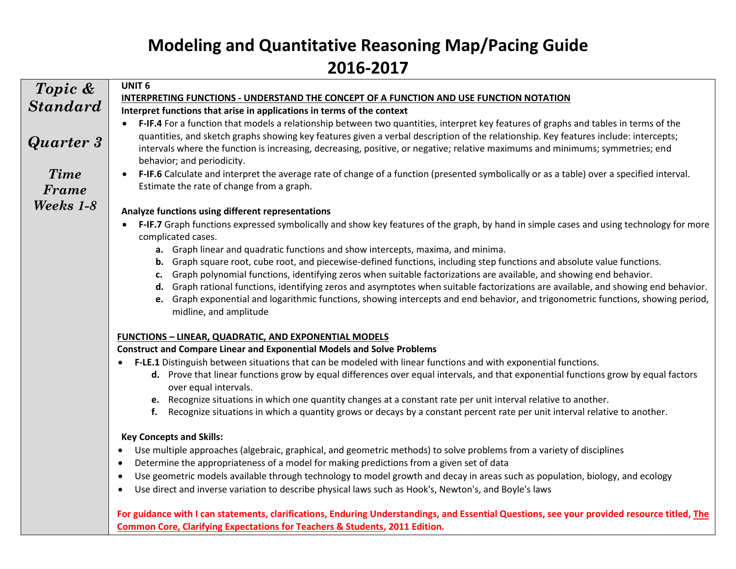| Topic &          | <b>UNIT 6</b>                                                                                                                                                                                                                                                                                        |  |  |  |
|------------------|------------------------------------------------------------------------------------------------------------------------------------------------------------------------------------------------------------------------------------------------------------------------------------------------------|--|--|--|
|                  | <b>INTERPRETING FUNCTIONS - UNDERSTAND THE CONCEPT OF A FUNCTION AND USE FUNCTION NOTATION</b>                                                                                                                                                                                                       |  |  |  |
| <b>Standard</b>  | Interpret functions that arise in applications in terms of the context                                                                                                                                                                                                                               |  |  |  |
|                  | • F-IF.4 For a function that models a relationship between two quantities, interpret key features of graphs and tables in terms of the                                                                                                                                                               |  |  |  |
| <b>Quarter 3</b> | quantities, and sketch graphs showing key features given a verbal description of the relationship. Key features include: intercepts;<br>intervals where the function is increasing, decreasing, positive, or negative; relative maximums and minimums; symmetries; end<br>behavior; and periodicity. |  |  |  |
| <b>Time</b>      | F-IF.6 Calculate and interpret the average rate of change of a function (presented symbolically or as a table) over a specified interval.<br>$\bullet$                                                                                                                                               |  |  |  |
| Frame            | Estimate the rate of change from a graph.                                                                                                                                                                                                                                                            |  |  |  |
| Weeks 1-8        | Analyze functions using different representations                                                                                                                                                                                                                                                    |  |  |  |
|                  | F-IF.7 Graph functions expressed symbolically and show key features of the graph, by hand in simple cases and using technology for more<br>complicated cases.                                                                                                                                        |  |  |  |
|                  | a. Graph linear and quadratic functions and show intercepts, maxima, and minima.                                                                                                                                                                                                                     |  |  |  |
|                  | Graph square root, cube root, and piecewise-defined functions, including step functions and absolute value functions.<br>b.                                                                                                                                                                          |  |  |  |
|                  | Graph polynomial functions, identifying zeros when suitable factorizations are available, and showing end behavior.<br>c.                                                                                                                                                                            |  |  |  |
|                  | d. Graph rational functions, identifying zeros and asymptotes when suitable factorizations are available, and showing end behavior.                                                                                                                                                                  |  |  |  |
|                  | e. Graph exponential and logarithmic functions, showing intercepts and end behavior, and trigonometric functions, showing period,<br>midline, and amplitude                                                                                                                                          |  |  |  |
|                  | <b>FUNCTIONS - LINEAR, QUADRATIC, AND EXPONENTIAL MODELS</b>                                                                                                                                                                                                                                         |  |  |  |
|                  | <b>Construct and Compare Linear and Exponential Models and Solve Problems</b>                                                                                                                                                                                                                        |  |  |  |
|                  | F-LE.1 Distinguish between situations that can be modeled with linear functions and with exponential functions.                                                                                                                                                                                      |  |  |  |
|                  | d. Prove that linear functions grow by equal differences over equal intervals, and that exponential functions grow by equal factors<br>over equal intervals.                                                                                                                                         |  |  |  |
|                  | e. Recognize situations in which one quantity changes at a constant rate per unit interval relative to another.                                                                                                                                                                                      |  |  |  |
|                  | Recognize situations in which a quantity grows or decays by a constant percent rate per unit interval relative to another.<br>f.                                                                                                                                                                     |  |  |  |
|                  | <b>Key Concepts and Skills:</b>                                                                                                                                                                                                                                                                      |  |  |  |
|                  | Use multiple approaches (algebraic, graphical, and geometric methods) to solve problems from a variety of disciplines<br>$\bullet$                                                                                                                                                                   |  |  |  |
|                  | Determine the appropriateness of a model for making predictions from a given set of data<br>$\bullet$                                                                                                                                                                                                |  |  |  |
|                  | Use geometric models available through technology to model growth and decay in areas such as population, biology, and ecology<br>$\bullet$                                                                                                                                                           |  |  |  |
|                  | Use direct and inverse variation to describe physical laws such as Hook's, Newton's, and Boyle's laws<br>$\bullet$                                                                                                                                                                                   |  |  |  |
|                  | For guidance with I can statements, clarifications, Enduring Understandings, and Essential Questions, see your provided resource titled, The<br><b>Common Core, Clarifying Expectations for Teachers &amp; Students, 2011 Edition.</b>                                                               |  |  |  |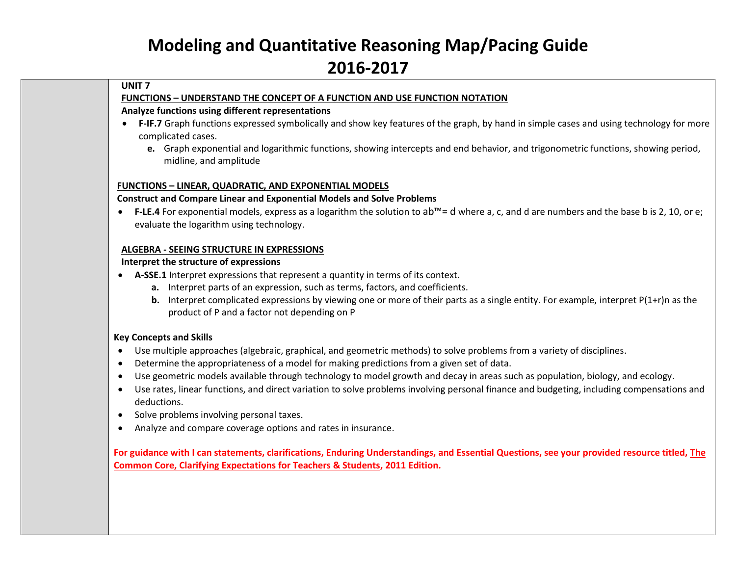#### **UNIT 7**

#### **FUNCTIONS – UNDERSTAND THE CONCEPT OF A FUNCTION AND USE FUNCTION NOTATION**

### **Analyze functions using different representations**

- **F-IF.7** Graph functions expressed symbolically and show key features of the graph, by hand in simple cases and using technology for more complicated cases.
	- **e.** Graph exponential and logarithmic functions, showing intercepts and end behavior, and trigonometric functions, showing period, midline, and amplitude

## **FUNCTIONS – LINEAR, QUADRATIC, AND EXPONENTIAL MODELS**

### **Construct and Compare Linear and Exponential Models and Solve Problems**

 **F-LE.4** For exponential models, express as a logarithm the solution to ab™= d where a, c, and d are numbers and the base b is 2, 10, or e; evaluate the logarithm using technology.

### **ALGEBRA - SEEING STRUCTURE IN EXPRESSIONS**

### **Interpret the structure of expressions**

- **A-SSE.1** Interpret expressions that represent a quantity in terms of its context.
	- **a.** Interpret parts of an expression, such as terms, factors, and coefficients.
	- **b.** Interpret complicated expressions by viewing one or more of their parts as a single entity. For example, interpret P(1+r)n as the product of P and a factor not depending on P

## **Key Concepts and Skills**

- Use multiple approaches (algebraic, graphical, and geometric methods) to solve problems from a variety of disciplines.
- Determine the appropriateness of a model for making predictions from a given set of data.
- Use geometric models available through technology to model growth and decay in areas such as population, biology, and ecology.
- Use rates, linear functions, and direct variation to solve problems involving personal finance and budgeting, including compensations and deductions.
- Solve problems involving personal taxes.
- Analyze and compare coverage options and rates in insurance.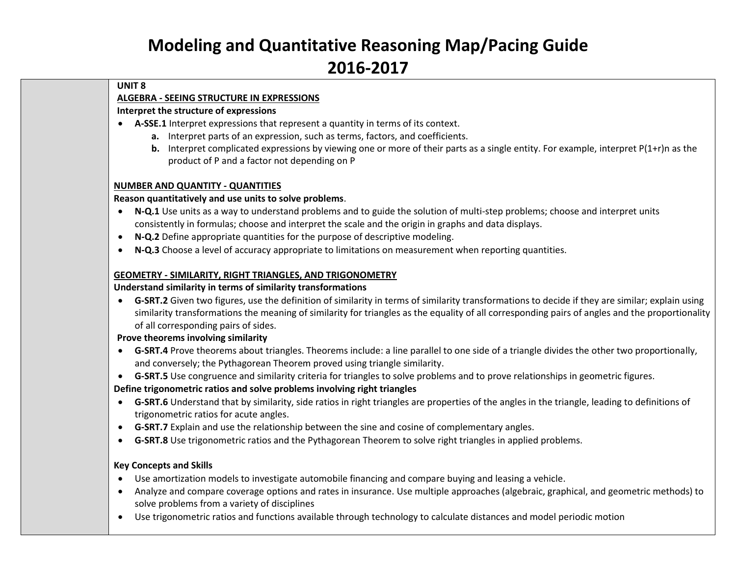#### **UNIT 8**

## **ALGEBRA - SEEING STRUCTURE IN EXPRESSIONS**

## **Interpret the structure of expressions**

- **A-SSE.1** Interpret expressions that represent a quantity in terms of its context.
	- **a.** Interpret parts of an expression, such as terms, factors, and coefficients.
	- **b.** Interpret complicated expressions by viewing one or more of their parts as a single entity. For example, interpret P(1+r)n as the product of P and a factor not depending on P

## **NUMBER AND QUANTITY - QUANTITIES**

### **Reason quantitatively and use units to solve problems**.

- **N-Q.1** Use units as a way to understand problems and to guide the solution of multi-step problems; choose and interpret units consistently in formulas; choose and interpret the scale and the origin in graphs and data displays.
- **N-Q.2** Define appropriate quantities for the purpose of descriptive modeling.
- **N-Q.3** Choose a level of accuracy appropriate to limitations on measurement when reporting quantities.

## **GEOMETRY - SIMILARITY, RIGHT TRIANGLES, AND TRIGONOMETRY**

### **Understand similarity in terms of similarity transformations**

 **G-SRT.2** Given two figures, use the definition of similarity in terms of similarity transformations to decide if they are similar; explain using similarity transformations the meaning of similarity for triangles as the equality of all corresponding pairs of angles and the proportionality of all corresponding pairs of sides.

#### **Prove theorems involving similarity**

- **G-SRT.4** Prove theorems about triangles. Theorems include: a line parallel to one side of a triangle divides the other two proportionally, and conversely; the Pythagorean Theorem proved using triangle similarity.
- **G-SRT.5** Use congruence and similarity criteria for triangles to solve problems and to prove relationships in geometric figures.

## **Define trigonometric ratios and solve problems involving right triangles**

- **G-SRT.6** Understand that by similarity, side ratios in right triangles are properties of the angles in the triangle, leading to definitions of trigonometric ratios for acute angles.
- **G-SRT.7** Explain and use the relationship between the sine and cosine of complementary angles.
- **G-SRT.8** Use trigonometric ratios and the Pythagorean Theorem to solve right triangles in applied problems.

#### **Key Concepts and Skills**

- Use amortization models to investigate automobile financing and compare buying and leasing a vehicle.
- Analyze and compare coverage options and rates in insurance. Use multiple approaches (algebraic, graphical, and geometric methods) to solve problems from a variety of disciplines
- Use trigonometric ratios and functions available through technology to calculate distances and model periodic motion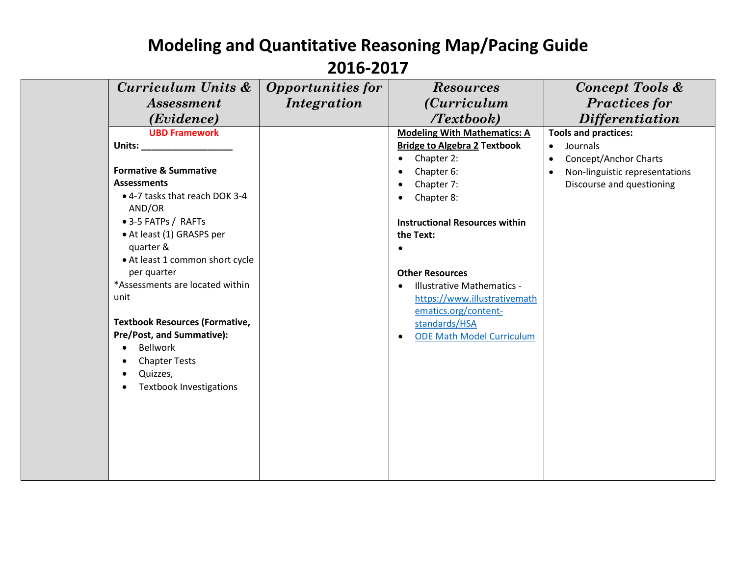| Curriculum Units &                       | <b>Opportunities for</b> | <b>Resources</b>                               | Concept Tools &                             |
|------------------------------------------|--------------------------|------------------------------------------------|---------------------------------------------|
| <i><b>Assessment</b></i>                 | Integration              | <i>(Curriculum</i> )                           | <b>Practices for</b>                        |
| (Evidence)                               |                          | Textbook                                       | <i>Differentiation</i>                      |
| <b>UBD Framework</b>                     |                          | <b>Modeling With Mathematics: A</b>            | <b>Tools and practices:</b>                 |
| Units: <b>Example 2018</b>               |                          | <b>Bridge to Algebra 2 Textbook</b>            | Journals<br>$\bullet$                       |
|                                          |                          | Chapter 2:<br>$\bullet$                        | Concept/Anchor Charts<br>$\bullet$          |
| <b>Formative &amp; Summative</b>         |                          | Chapter 6:<br>$\bullet$                        | Non-linguistic representations<br>$\bullet$ |
| <b>Assessments</b>                       |                          | Chapter 7:<br>$\bullet$                        | Discourse and questioning                   |
| • 4-7 tasks that reach DOK 3-4<br>AND/OR |                          | Chapter 8:<br>$\bullet$                        |                                             |
| • 3-5 FATPs / RAFTs                      |                          | <b>Instructional Resources within</b>          |                                             |
| • At least (1) GRASPS per                |                          | the Text:                                      |                                             |
| quarter &                                |                          | $\bullet$                                      |                                             |
| • At least 1 common short cycle          |                          |                                                |                                             |
| per quarter                              |                          | <b>Other Resources</b>                         |                                             |
| *Assessments are located within          |                          | <b>Illustrative Mathematics -</b><br>$\bullet$ |                                             |
| unit                                     |                          | https://www.illustrativemath                   |                                             |
|                                          |                          | ematics.org/content-                           |                                             |
| <b>Textbook Resources (Formative,</b>    |                          | standards/HSA                                  |                                             |
| Pre/Post, and Summative):                |                          | <b>ODE Math Model Curriculum</b><br>$\bullet$  |                                             |
| <b>Bellwork</b>                          |                          |                                                |                                             |
| <b>Chapter Tests</b>                     |                          |                                                |                                             |
| Quizzes,                                 |                          |                                                |                                             |
| <b>Textbook Investigations</b>           |                          |                                                |                                             |
|                                          |                          |                                                |                                             |
|                                          |                          |                                                |                                             |
|                                          |                          |                                                |                                             |
|                                          |                          |                                                |                                             |
|                                          |                          |                                                |                                             |
|                                          |                          |                                                |                                             |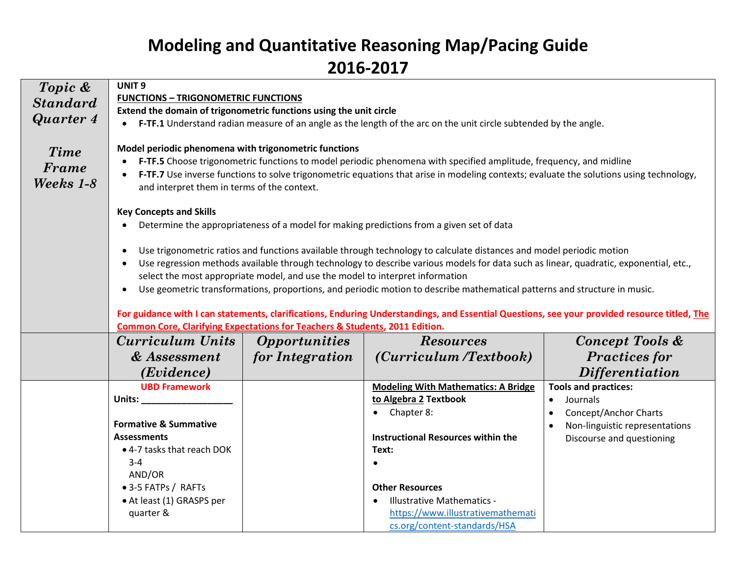| Topic &                           | UNIT <sub>9</sub>                                                                                                                                                                                                                                                                                                                                                     |                                                                               |                                                                                                                                              |                                    |
|-----------------------------------|-----------------------------------------------------------------------------------------------------------------------------------------------------------------------------------------------------------------------------------------------------------------------------------------------------------------------------------------------------------------------|-------------------------------------------------------------------------------|----------------------------------------------------------------------------------------------------------------------------------------------|------------------------------------|
| <b>Standard</b>                   | <b>FUNCTIONS - TRIGONOMETRIC FUNCTIONS</b>                                                                                                                                                                                                                                                                                                                            |                                                                               |                                                                                                                                              |                                    |
| Quarter 4                         | Extend the domain of trigonometric functions using the unit circle<br>F-TF.1 Understand radian measure of an angle as the length of the arc on the unit circle subtended by the angle.                                                                                                                                                                                |                                                                               |                                                                                                                                              |                                    |
|                                   |                                                                                                                                                                                                                                                                                                                                                                       |                                                                               |                                                                                                                                              |                                    |
| <b>Time</b><br>Frame<br>Weeks 1-8 | Model periodic phenomena with trigonometric functions<br>F-TF.5 Choose trigonometric functions to model periodic phenomena with specified amplitude, frequency, and midline<br>F-TF.7 Use inverse functions to solve trigonometric equations that arise in modeling contexts; evaluate the solutions using technology,<br>and interpret them in terms of the context. |                                                                               |                                                                                                                                              |                                    |
|                                   | <b>Key Concepts and Skills</b>                                                                                                                                                                                                                                                                                                                                        |                                                                               |                                                                                                                                              |                                    |
|                                   |                                                                                                                                                                                                                                                                                                                                                                       |                                                                               | Determine the appropriateness of a model for making predictions from a given set of data                                                     |                                    |
|                                   |                                                                                                                                                                                                                                                                                                                                                                       |                                                                               |                                                                                                                                              |                                    |
|                                   | $\bullet$                                                                                                                                                                                                                                                                                                                                                             |                                                                               | Use trigonometric ratios and functions available through technology to calculate distances and model periodic motion                         |                                    |
|                                   | $\bullet$                                                                                                                                                                                                                                                                                                                                                             |                                                                               | Use regression methods available through technology to describe various models for data such as linear, quadratic, exponential, etc.,        |                                    |
|                                   |                                                                                                                                                                                                                                                                                                                                                                       | select the most appropriate model, and use the model to interpret information |                                                                                                                                              |                                    |
|                                   | Use geometric transformations, proportions, and periodic motion to describe mathematical patterns and structure in music.<br>$\bullet$                                                                                                                                                                                                                                |                                                                               |                                                                                                                                              |                                    |
|                                   |                                                                                                                                                                                                                                                                                                                                                                       |                                                                               | For guidance with I can statements, clarifications, Enduring Understandings, and Essential Questions, see your provided resource titled, The |                                    |
|                                   | Common Core, Clarifying Expectations for Teachers & Students, 2011 Edition.                                                                                                                                                                                                                                                                                           |                                                                               |                                                                                                                                              |                                    |
|                                   | Curriculum Units                                                                                                                                                                                                                                                                                                                                                      | <i><b>Opportunities</b></i>                                                   | <b>Resources</b>                                                                                                                             | Concept Tools &                    |
|                                   | & Assessment                                                                                                                                                                                                                                                                                                                                                          | for Integration                                                               | (Curriculum /Textbook)                                                                                                                       | <b>Practices for</b>               |
|                                   | (Evidence)                                                                                                                                                                                                                                                                                                                                                            |                                                                               |                                                                                                                                              | <i>Differentiation</i>             |
|                                   | <b>UBD Framework</b>                                                                                                                                                                                                                                                                                                                                                  |                                                                               | <b>Modeling With Mathematics: A Bridge</b>                                                                                                   | <b>Tools and practices:</b>        |
|                                   | Units: $\_\_$                                                                                                                                                                                                                                                                                                                                                         |                                                                               | to Algebra 2 Textbook                                                                                                                        | Journals<br>$\bullet$              |
|                                   |                                                                                                                                                                                                                                                                                                                                                                       |                                                                               | Chapter 8:                                                                                                                                   | Concept/Anchor Charts<br>$\bullet$ |
|                                   | <b>Formative &amp; Summative</b>                                                                                                                                                                                                                                                                                                                                      |                                                                               |                                                                                                                                              | Non-linguistic representations     |
|                                   | <b>Assessments</b>                                                                                                                                                                                                                                                                                                                                                    |                                                                               | <b>Instructional Resources within the</b>                                                                                                    | Discourse and questioning          |
|                                   | • 4-7 tasks that reach DOK<br>$3 - 4$                                                                                                                                                                                                                                                                                                                                 |                                                                               | Text:                                                                                                                                        |                                    |
|                                   | AND/OR                                                                                                                                                                                                                                                                                                                                                                |                                                                               |                                                                                                                                              |                                    |
|                                   | • 3-5 FATPs / RAFTs                                                                                                                                                                                                                                                                                                                                                   |                                                                               | <b>Other Resources</b>                                                                                                                       |                                    |
|                                   | • At least (1) GRASPS per                                                                                                                                                                                                                                                                                                                                             |                                                                               | <b>Illustrative Mathematics -</b>                                                                                                            |                                    |
|                                   | quarter &                                                                                                                                                                                                                                                                                                                                                             |                                                                               | https://www.illustrativemathemati                                                                                                            |                                    |
|                                   |                                                                                                                                                                                                                                                                                                                                                                       |                                                                               |                                                                                                                                              |                                    |